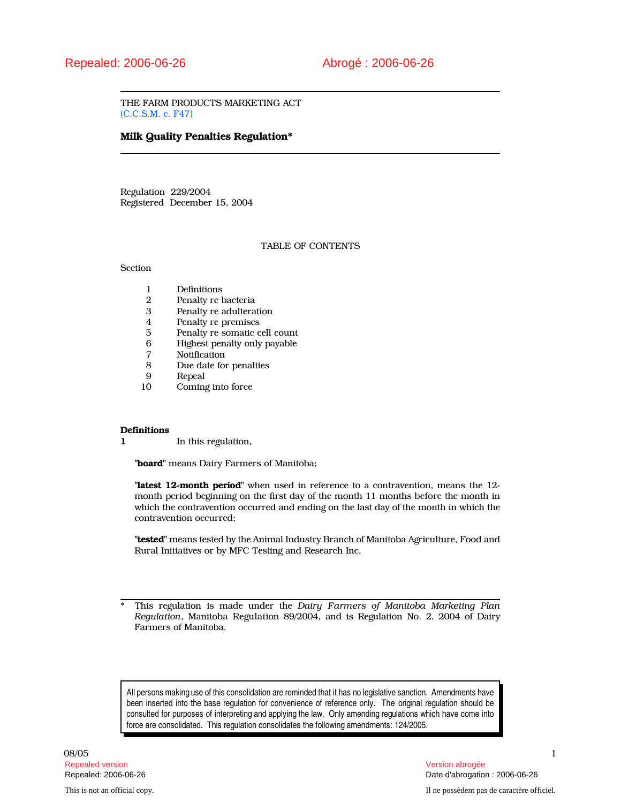THE FARM PRODUCTS MARKETING ACT (C.C.S.M. c. F47)

# Milk Quality Penalties Regulation\*

Regulation 229/2004 Registered December 15, 2004

# TABLE OF CONTENTS

Section

- 1 Definitions<br>2 Penalty re
- 2 Penalty re bacteria<br>3 Penalty re adultera
- Penalty re adulteration
- 4 Penalty re premises
- 5 Penalty re somatic cell count<br>6 Highest penalty only payable
- 6 Highest penalty only payable<br>7 Notification
- 7 Notification<br>8 Due date for
- 8 Due date for penalties<br>9 Repeal
- 9 Repeal<br>10 Coming
- Coming into force

#### **Definitions**

1 In this regulation,

"board" means Dairy Farmers of Manitoba;

"latest 12-month period" when used in reference to a contravention, means the 12month period beginning on the first day of the month 11 months before the month in which the contravention occurred and ending on the last day of the month in which the contravention occurred;

"tested" means tested by the Animal Industry Branch of Manitoba Agriculture, Food and Rural Initiatives or by MFC Testing and Research Inc.

This regulation is made under the Dairy Farmers of Manitoba Marketing Plan Regulation, Manitoba Regulation 89/2004, and is Regulation No. 2, 2004 of Dairy Farmers of Manitoba.

All persons making use of this consolidation are reminded that it has no legislative sanction. Amendments have been inserted into the base regulation for convenience of reference only. The original regulation should be consulted for purposes of interpreting and applying the law. Only amending regulations which have come into force are consolidated. This regulation consolidates the following amendments: 124/2005.

 $08/05$  and the contract of the contract of the contract of the contract of the contract of the contract of the contract of the contract of the contract of the contract of the contract of the contract of the contract of t Repealed version Version abrogée

Repealed: 2006-06-26 Date d'abrogation : 2006-06-26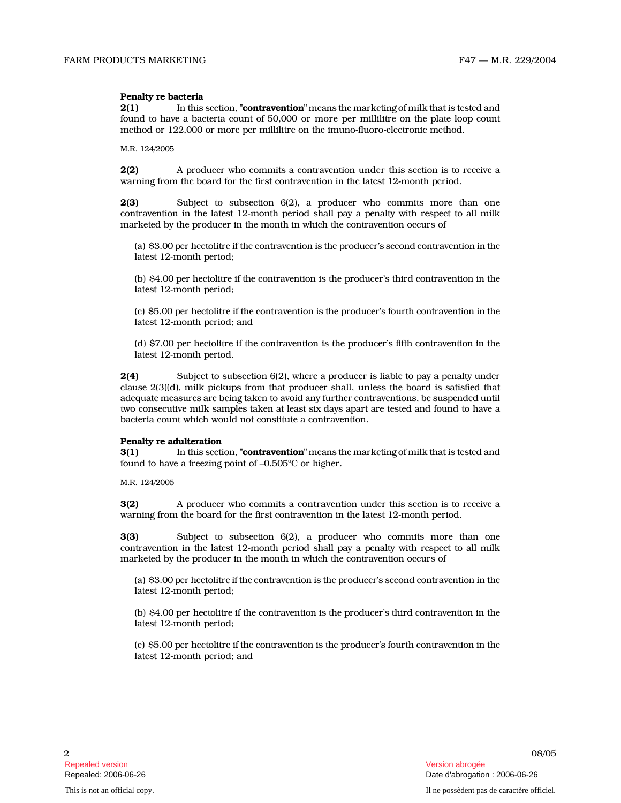# Penalty re bacteria

2(1) In this section, "**contravention**" means the marketing of milk that is tested and found to have a bacteria count of 50,000 or more per millilitre on the plate loop count method or 122,000 or more per millilitre on the imuno-fluoro-electronic method.

M.R. 124/2005

**2(2)** A producer who commits a contravention under this section is to receive a warning from the board for the first contravention in the latest 12-month period.

2(3) Subject to subsection 6(2), a producer who commits more than one contravention in the latest 12-month period shall pay a penalty with respect to all milk marketed by the producer in the month in which the contravention occurs of

(a) \$3.00 per hectolitre if the contravention is the producer's second contravention in the latest 12-month period;

(b) \$4.00 per hectolitre if the contravention is the producer's third contravention in the latest 12-month period;

(c) \$5.00 per hectolitre if the contravention is the producer's fourth contravention in the latest 12-month period; and

(d) \$7.00 per hectolitre if the contravention is the producer's fifth contravention in the latest 12-month period.

2(4) Subject to subsection 6(2), where a producer is liable to pay a penalty under clause 2(3)(d), milk pickups from that producer shall, unless the board is satisfied that adequate measures are being taken to avoid any further contraventions, be suspended until two consecutive milk samples taken at least six days apart are tested and found to have a bacteria count which would not constitute a contravention.

#### Penalty re adulteration

**3(1)** In this section, "**contravention**" means the marketing of milk that is tested and found to have a freezing point of -0.505°C or higher.

M.R. 124/2005

3(2) A producer who commits a contravention under this section is to receive a warning from the board for the first contravention in the latest 12-month period.

3(3) Subject to subsection 6(2), a producer who commits more than one contravention in the latest 12-month period shall pay a penalty with respect to all milk marketed by the producer in the month in which the contravention occurs of

(a) \$3.00 per hectolitre if the contravention is the producer's second contravention in the latest 12-month period;

(b) \$4.00 per hectolitre if the contravention is the producer's third contravention in the latest 12-month period;

(c) \$5.00 per hectolitre if the contravention is the producer's fourth contravention in the latest 12-month period; and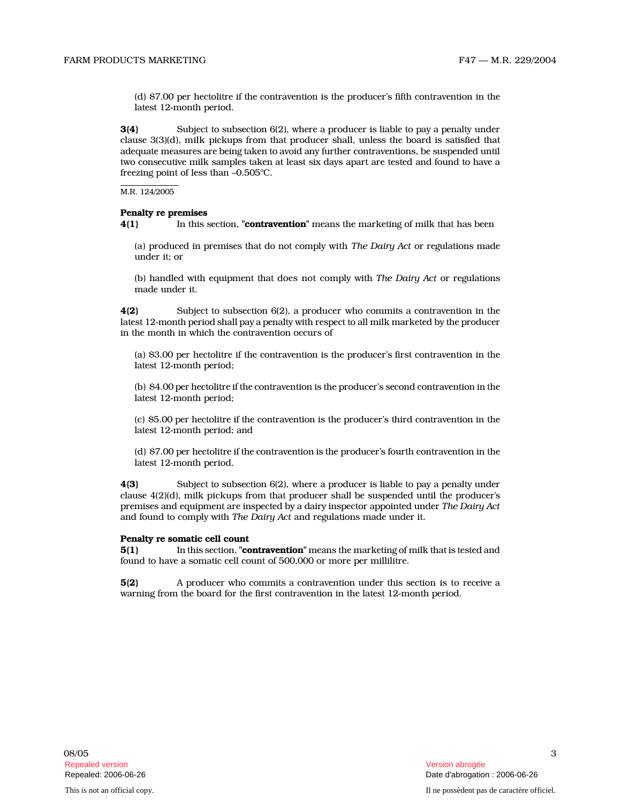(d) \$7.00 per hectolitre if the contravention is the producer's fifth contravention in the latest 12-month period.

3(4) Subject to subsection 6(2), where a producer is liable to pay a penalty under clause 3(3)(d), milk pickups from that producer shall, unless the board is satisfied that adequate measures are being taken to avoid any further contraventions, be suspended until two consecutive milk samples taken at least six days apart are tested and found to have a freezing point of less than -0.505°C.

M.R. 124/2005

# Penalty re premises

4(1) In this section, "**contravention**" means the marketing of milk that has been

(a) produced in premises that do not comply with The Dairy Act or regulations made under it; or

(b) handled with equipment that does not comply with The Dairy Act or regulations made under it.

4(2) Subject to subsection 6(2), a producer who commits a contravention in the latest 12-month period shall pay a penalty with respect to all milk marketed by the producer in the month in which the contravention occurs of

(a) \$3.00 per hectolitre if the contravention is the producer's first contravention in the latest 12-month period;

(b) \$4.00 per hectolitre if the contravention is the producer's second contravention in the latest 12-month period;

(c) \$5.00 per hectolitre if the contravention is the producer's third contravention in the latest 12-month period; and

(d) \$7.00 per hectolitre if the contravention is the producer's fourth contravention in the latest 12-month period.

4(3) Subject to subsection 6(2), where a producer is liable to pay a penalty under clause 4(2)(d), milk pickups from that producer shall be suspended until the producer's premises and equipment are inspected by a dairy inspector appointed under The Dairy Act and found to comply with The Dairy Act and regulations made under it.

#### Penalty re somatic cell count

5(1) In this section, "**contravention**" means the marketing of milk that is tested and found to have a somatic cell count of 500,000 or more per millilitre.

5(2) A producer who commits a contravention under this section is to receive a warning from the board for the first contravention in the latest 12-month period.

This is not an official copy. Il ne possèdent pas de caractère officiel.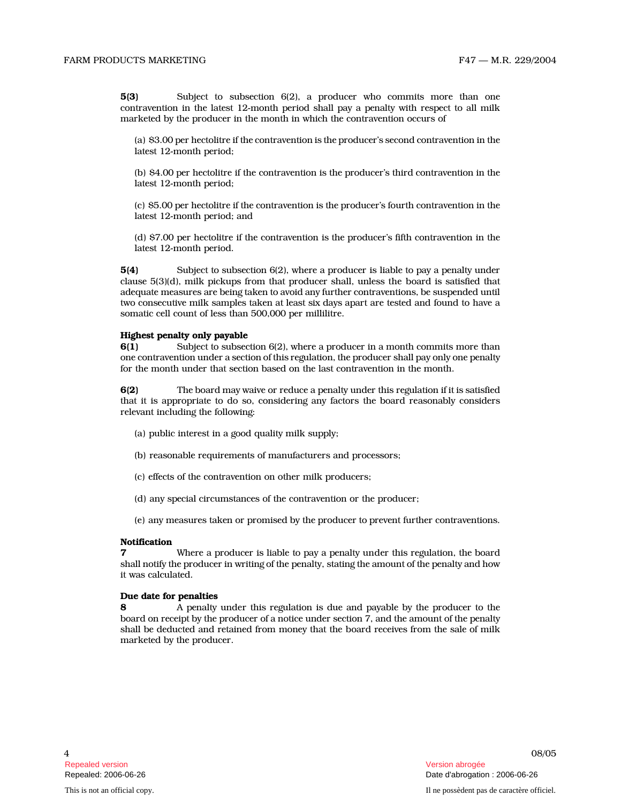5(3) Subject to subsection 6(2), a producer who commits more than one contravention in the latest 12-month period shall pay a penalty with respect to all milk marketed by the producer in the month in which the contravention occurs of

(a) \$3.00 per hectolitre if the contravention is the producer's second contravention in the latest 12-month period;

(b) \$4.00 per hectolitre if the contravention is the producer's third contravention in the latest 12-month period;

(c) \$5.00 per hectolitre if the contravention is the producer's fourth contravention in the latest 12-month period; and

(d) \$7.00 per hectolitre if the contravention is the producer's fifth contravention in the latest 12-month period.

5(4) Subject to subsection 6(2), where a producer is liable to pay a penalty under clause 5(3)(d), milk pickups from that producer shall, unless the board is satisfied that adequate measures are being taken to avoid any further contraventions, be suspended until two consecutive milk samples taken at least six days apart are tested and found to have a somatic cell count of less than 500,000 per millilitre.

## Highest penalty only payable

6(1) Subject to subsection 6(2), where a producer in a month commits more than one contravention under a section of this regulation, the producer shall pay only one penalty for the month under that section based on the last contravention in the month.

6(2) The board may waive or reduce a penalty under this regulation if it is satisfied that it is appropriate to do so, considering any factors the board reasonably considers relevant including the following:

- (a) public interest in a good quality milk supply;
- (b) reasonable requirements of manufacturers and processors;
- (c) effects of the contravention on other milk producers;
- (d) any special circumstances of the contravention or the producer;

(e) any measures taken or promised by the producer to prevent further contraventions.

#### **Notification**

7 Where a producer is liable to pay a penalty under this regulation, the board shall notify the producer in writing of the penalty, stating the amount of the penalty and how it was calculated.

#### Due date for penalties

8 A penalty under this regulation is due and payable by the producer to the board on receipt by the producer of a notice under section 7, and the amount of the penalty shall be deducted and retained from money that the board receives from the sale of milk marketed by the producer.